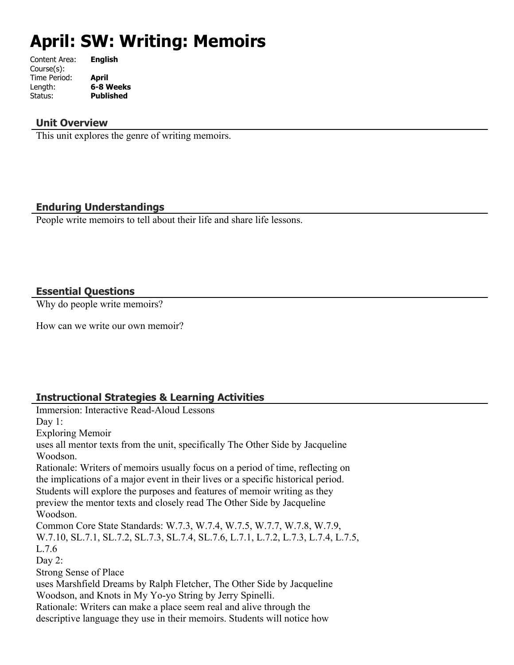# **April: SW: Writing: Memoirs**

| Content Area: | <b>English</b>   |
|---------------|------------------|
| Course(s):    |                  |
| Time Period:  | April            |
| Length:       | 6-8 Weeks        |
| Status:       | <b>Published</b> |
|               |                  |

## **Unit Overview**

This unit explores the genre of writing memoirs.

# **Enduring Understandings**

People write memoirs to tell about their life and share life lessons.

## **Essential Questions**

Why do people write memoirs?

How can we write our own memoir?

# **Instructional Strategies & Learning Activities**

Immersion: Interactive Read-Aloud Lessons Day 1: Exploring Memoir uses all mentor texts from the unit, specifically The Other Side by Jacqueline Woodson. Rationale: Writers of memoirs usually focus on a period of time, reflecting on the implications of a major event in their lives or a specific historical period. Students will explore the purposes and features of memoir writing as they preview the mentor texts and closely read The Other Side by Jacqueline Woodson. Common Core State Standards: W.7.3, W.7.4, W.7.5, W.7.7, W.7.8, W.7.9, W.7.10, SL.7.1, SL.7.2, SL.7.3, SL.7.4, SL.7.6, L.7.1, L.7.2, L.7.3, L.7.4, L.7.5, L.7.6 Day 2: Strong Sense of Place uses Marshfield Dreams by Ralph Fletcher, The Other Side by Jacqueline Woodson, and Knots in My Yo-yo String by Jerry Spinelli. Rationale: Writers can make a place seem real and alive through the descriptive language they use in their memoirs. Students will notice how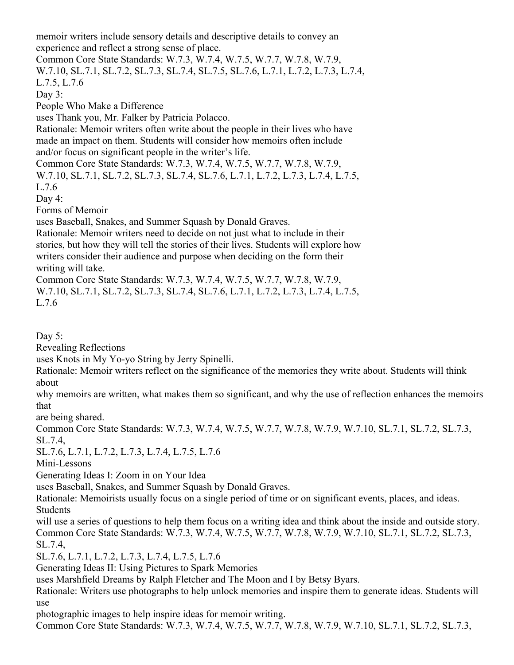memoir writers include sensory details and descriptive details to convey an experience and reflect a strong sense of place.

Common Core State Standards: W.7.3, W.7.4, W.7.5, W.7.7, W.7.8, W.7.9, W.7.10, SL.7.1, SL.7.2, SL.7.3, SL.7.4, SL.7.5, SL.7.6, L.7.1, L.7.2, L.7.3, L.7.4,

L.7.5, L.7.6 Day 3:

People Who Make a Difference

uses Thank you, Mr. Falker by Patricia Polacco.

Rationale: Memoir writers often write about the people in their lives who have made an impact on them. Students will consider how memoirs often include and/or focus on significant people in the writer's life.

Common Core State Standards: W.7.3, W.7.4, W.7.5, W.7.7, W.7.8, W.7.9, W.7.10, SL.7.1, SL.7.2, SL.7.3, SL.7.4, SL.7.6, L.7.1, L.7.2, L.7.3, L.7.4, L.7.5,

L.7.6

Day 4:

Forms of Memoir

uses Baseball, Snakes, and Summer Squash by Donald Graves.

Rationale: Memoir writers need to decide on not just what to include in their stories, but how they will tell the stories of their lives. Students will explore how writers consider their audience and purpose when deciding on the form their writing will take.

Common Core State Standards: W.7.3, W.7.4, W.7.5, W.7.7, W.7.8, W.7.9,

W.7.10, SL.7.1, SL.7.2, SL.7.3, SL.7.4, SL.7.6, L.7.1, L.7.2, L.7.3, L.7.4, L.7.5, L.7.6

Day 5:

Revealing Reflections

uses Knots in My Yo-yo String by Jerry Spinelli.

Rationale: Memoir writers reflect on the significance of the memories they write about. Students will think about

why memoirs are written, what makes them so significant, and why the use of reflection enhances the memoirs that

are being shared.

Common Core State Standards: W.7.3, W.7.4, W.7.5, W.7.7, W.7.8, W.7.9, W.7.10, SL.7.1, SL.7.2, SL.7.3, SL.7.4,

SL.7.6, L.7.1, L.7.2, L.7.3, L.7.4, L.7.5, L.7.6

Mini-Lessons

Generating Ideas I: Zoom in on Your Idea

uses Baseball, Snakes, and Summer Squash by Donald Graves.

Rationale: Memoirists usually focus on a single period of time or on significant events, places, and ideas. Students

will use a series of questions to help them focus on a writing idea and think about the inside and outside story. Common Core State Standards: W.7.3, W.7.4, W.7.5, W.7.7, W.7.8, W.7.9, W.7.10, SL.7.1, SL.7.2, SL.7.3, SL.7.4,

SL.7.6, L.7.1, L.7.2, L.7.3, L.7.4, L.7.5, L.7.6

Generating Ideas II: Using Pictures to Spark Memories

uses Marshfield Dreams by Ralph Fletcher and The Moon and I by Betsy Byars.

Rationale: Writers use photographs to help unlock memories and inspire them to generate ideas. Students will use

photographic images to help inspire ideas for memoir writing.

Common Core State Standards: W.7.3, W.7.4, W.7.5, W.7.7, W.7.8, W.7.9, W.7.10, SL.7.1, SL.7.2, SL.7.3,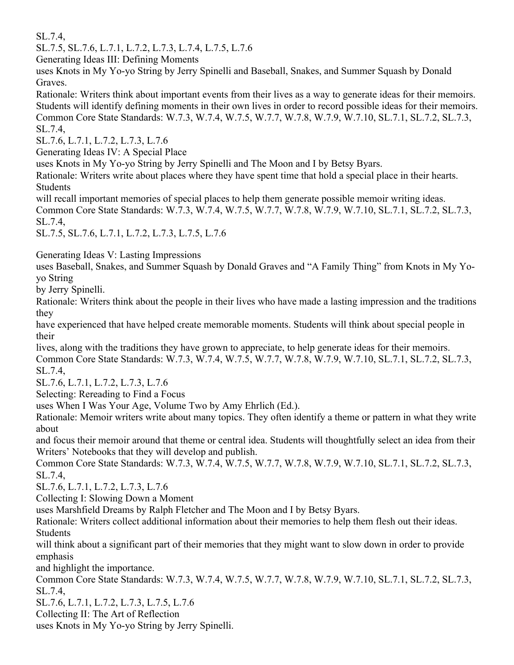SL.7.4,

SL.7.5, SL.7.6, L.7.1, L.7.2, L.7.3, L.7.4, L.7.5, L.7.6

Generating Ideas III: Defining Moments

uses Knots in My Yo-yo String by Jerry Spinelli and Baseball, Snakes, and Summer Squash by Donald Graves.

Rationale: Writers think about important events from their lives as a way to generate ideas for their memoirs. Students will identify defining moments in their own lives in order to record possible ideas for their memoirs. Common Core State Standards: W.7.3, W.7.4, W.7.5, W.7.7, W.7.8, W.7.9, W.7.10, SL.7.1, SL.7.2, SL.7.3, SL.7.4,

SL.7.6, L.7.1, L.7.2, L.7.3, L.7.6

Generating Ideas IV: A Special Place

uses Knots in My Yo-yo String by Jerry Spinelli and The Moon and I by Betsy Byars.

Rationale: Writers write about places where they have spent time that hold a special place in their hearts. Students

will recall important memories of special places to help them generate possible memoir writing ideas. Common Core State Standards: W.7.3, W.7.4, W.7.5, W.7.7, W.7.8, W.7.9, W.7.10, SL.7.1, SL.7.2, SL.7.3, SL.7.4,

SL.7.5, SL.7.6, L.7.1, L.7.2, L.7.3, L.7.5, L.7.6

Generating Ideas V: Lasting Impressions

uses Baseball, Snakes, and Summer Squash by Donald Graves and "A Family Thing" from Knots in My Yoyo String

by Jerry Spinelli.

Rationale: Writers think about the people in their lives who have made a lasting impression and the traditions they

have experienced that have helped create memorable moments. Students will think about special people in their

lives, along with the traditions they have grown to appreciate, to help generate ideas for their memoirs. Common Core State Standards: W.7.3, W.7.4, W.7.5, W.7.7, W.7.8, W.7.9, W.7.10, SL.7.1, SL.7.2, SL.7.3, SL.7.4,

SL.7.6, L.7.1, L.7.2, L.7.3, L.7.6

Selecting: Rereading to Find a Focus

uses When I Was Your Age, Volume Two by Amy Ehrlich (Ed.).

Rationale: Memoir writers write about many topics. They often identify a theme or pattern in what they write about

and focus their memoir around that theme or central idea. Students will thoughtfully select an idea from their Writers' Notebooks that they will develop and publish.

Common Core State Standards: W.7.3, W.7.4, W.7.5, W.7.7, W.7.8, W.7.9, W.7.10, SL.7.1, SL.7.2, SL.7.3, SL.7.4,

SL.7.6, L.7.1, L.7.2, L.7.3, L.7.6

Collecting I: Slowing Down a Moment

uses Marshfield Dreams by Ralph Fletcher and The Moon and I by Betsy Byars.

Rationale: Writers collect additional information about their memories to help them flesh out their ideas. Students

will think about a significant part of their memories that they might want to slow down in order to provide emphasis

and highlight the importance.

Common Core State Standards: W.7.3, W.7.4, W.7.5, W.7.7, W.7.8, W.7.9, W.7.10, SL.7.1, SL.7.2, SL.7.3, SL.7.4,

SL.7.6, L.7.1, L.7.2, L.7.3, L.7.5, L.7.6

Collecting II: The Art of Reflection

uses Knots in My Yo-yo String by Jerry Spinelli.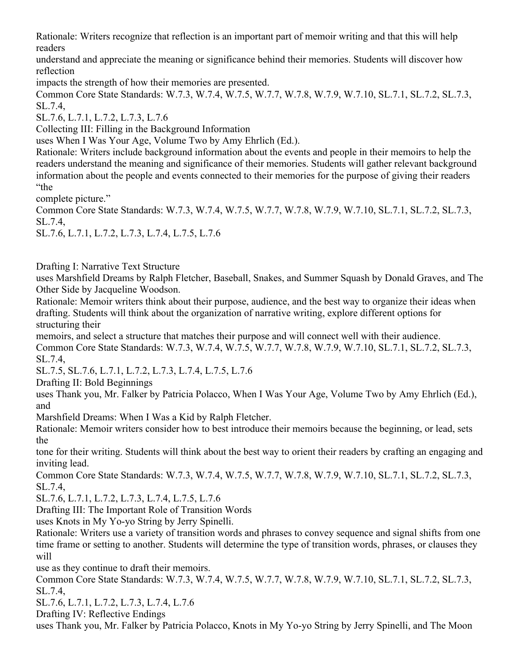Rationale: Writers recognize that reflection is an important part of memoir writing and that this will help readers

understand and appreciate the meaning or significance behind their memories. Students will discover how reflection

impacts the strength of how their memories are presented.

Common Core State Standards: W.7.3, W.7.4, W.7.5, W.7.7, W.7.8, W.7.9, W.7.10, SL.7.1, SL.7.2, SL.7.3, SL.7.4,

SL.7.6, L.7.1, L.7.2, L.7.3, L.7.6

Collecting III: Filling in the Background Information

uses When I Was Your Age, Volume Two by Amy Ehrlich (Ed.).

Rationale: Writers include background information about the events and people in their memoirs to help the readers understand the meaning and significance of their memories. Students will gather relevant background information about the people and events connected to their memories for the purpose of giving their readers "the

complete picture."

Common Core State Standards: W.7.3, W.7.4, W.7.5, W.7.7, W.7.8, W.7.9, W.7.10, SL.7.1, SL.7.2, SL.7.3, SL.7.4,

SL.7.6, L.7.1, L.7.2, L.7.3, L.7.4, L.7.5, L.7.6

Drafting I: Narrative Text Structure

uses Marshfield Dreams by Ralph Fletcher, Baseball, Snakes, and Summer Squash by Donald Graves, and The Other Side by Jacqueline Woodson.

Rationale: Memoir writers think about their purpose, audience, and the best way to organize their ideas when drafting. Students will think about the organization of narrative writing, explore different options for structuring their

memoirs, and select a structure that matches their purpose and will connect well with their audience. Common Core State Standards: W.7.3, W.7.4, W.7.5, W.7.7, W.7.8, W.7.9, W.7.10, SL.7.1, SL.7.2, SL.7.3, SL.7.4,

SL.7.5, SL.7.6, L.7.1, L.7.2, L.7.3, L.7.4, L.7.5, L.7.6

Drafting II: Bold Beginnings

uses Thank you, Mr. Falker by Patricia Polacco, When I Was Your Age, Volume Two by Amy Ehrlich (Ed.), and

Marshfield Dreams: When I Was a Kid by Ralph Fletcher.

Rationale: Memoir writers consider how to best introduce their memoirs because the beginning, or lead, sets the

tone for their writing. Students will think about the best way to orient their readers by crafting an engaging and inviting lead.

Common Core State Standards: W.7.3, W.7.4, W.7.5, W.7.7, W.7.8, W.7.9, W.7.10, SL.7.1, SL.7.2, SL.7.3, SL.7.4,

SL.7.6, L.7.1, L.7.2, L.7.3, L.7.4, L.7.5, L.7.6

Drafting III: The Important Role of Transition Words

uses Knots in My Yo-yo String by Jerry Spinelli.

Rationale: Writers use a variety of transition words and phrases to convey sequence and signal shifts from one time frame or setting to another. Students will determine the type of transition words, phrases, or clauses they will

use as they continue to draft their memoirs.

Common Core State Standards: W.7.3, W.7.4, W.7.5, W.7.7, W.7.8, W.7.9, W.7.10, SL.7.1, SL.7.2, SL.7.3, SL.7.4,

SL.7.6, L.7.1, L.7.2, L.7.3, L.7.4, L.7.6

Drafting IV: Reflective Endings

uses Thank you, Mr. Falker by Patricia Polacco, Knots in My Yo-yo String by Jerry Spinelli, and The Moon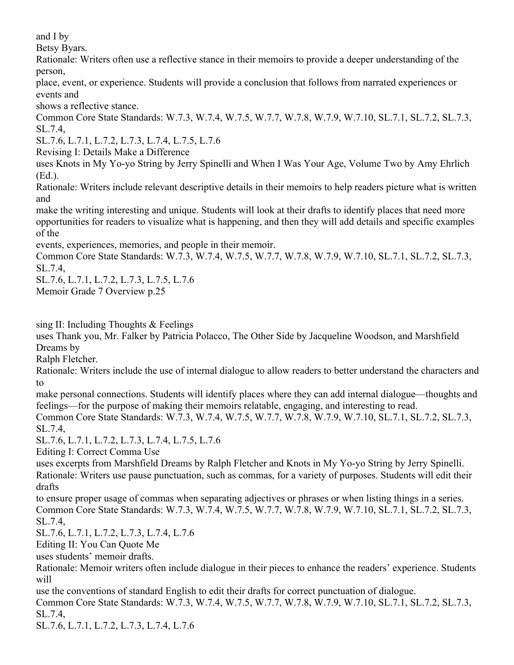and I by

Betsy Byars.

Rationale: Writers often use a reflective stance in their memoirs to provide a deeper understanding of the person,

place, event, or experience. Students will provide a conclusion that follows from narrated experiences or events and

shows a reflective stance.

Common Core State Standards: W.7.3, W.7.4, W.7.5, W.7.7, W.7.8, W.7.9, W.7.10, SL.7.1, SL.7.2, SL.7.3, SL.7.4,

SL.7.6, L.7.1, L.7.2, L.7.3, L.7.4, L.7.5, L.7.6

Revising I: Details Make a Difference

uses Knots in My Yo-yo String by Jerry Spinelli and When I Was Your Age, Volume Two by Amy Ehrlich (Ed.).

Rationale: Writers include relevant descriptive details in their memoirs to help readers picture what is written and

make the writing interesting and unique. Students will look at their drafts to identify places that need more opportunities for readers to visualize what is happening, and then they will add details and specific examples of the

events, experiences, memories, and people in their memoir.

Common Core State Standards: W.7.3, W.7.4, W.7.5, W.7.7, W.7.8, W.7.9, W.7.10, SL.7.1, SL.7.2, SL.7.3, SL.7.4,

SL.7.6, L.7.1, L.7.2, L.7.3, L.7.5, L.7.6

Memoir Grade 7 Overview p.25

sing II: Including Thoughts & Feelings

uses Thank you, Mr. Falker by Patricia Polacco, The Other Side by Jacqueline Woodson, and Marshfield Dreams by

Ralph Fletcher.

Rationale: Writers include the use of internal dialogue to allow readers to better understand the characters and to

make personal connections. Students will identify places where they can add internal dialogue—thoughts and feelings—for the purpose of making their memoirs relatable, engaging, and interesting to read.

Common Core State Standards: W.7.3, W.7.4, W.7.5, W.7.7, W.7.8, W.7.9, W.7.10, SL.7.1, SL.7.2, SL.7.3, SL.7.4,

SL.7.6, L.7.1, L.7.2, L.7.3, L.7.4, L.7.5, L.7.6

Editing I: Correct Comma Use

uses excerpts from Marshfield Dreams by Ralph Fletcher and Knots in My Yo-yo String by Jerry Spinelli. Rationale: Writers use pause punctuation, such as commas, for a variety of purposes. Students will edit their drafts

to ensure proper usage of commas when separating adjectives or phrases or when listing things in a series. Common Core State Standards: W.7.3, W.7.4, W.7.5, W.7.7, W.7.8, W.7.9, W.7.10, SL.7.1, SL.7.2, SL.7.3, SL.7.4,

SL.7.6, L.7.1, L.7.2, L.7.3, L.7.4, L.7.6

Editing II: You Can Quote Me

uses students' memoir drafts.

Rationale: Memoir writers often include dialogue in their pieces to enhance the readers' experience. Students will

use the conventions of standard English to edit their drafts for correct punctuation of dialogue. Common Core State Standards: W.7.3, W.7.4, W.7.5, W.7.7, W.7.8, W.7.9, W.7.10, SL.7.1, SL.7.2, SL.7.3, SL.7.4,

SL.7.6, L.7.1, L.7.2, L.7.3, L.7.4, L.7.6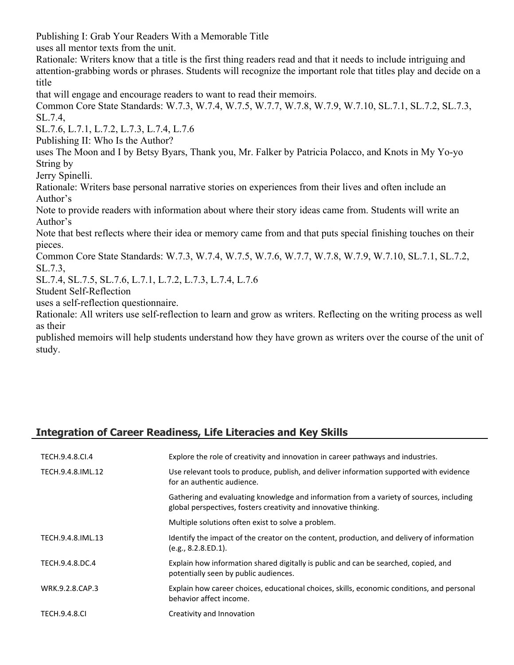Publishing I: Grab Your Readers With a Memorable Title

uses all mentor texts from the unit.

Rationale: Writers know that a title is the first thing readers read and that it needs to include intriguing and attention-grabbing words or phrases. Students will recognize the important role that titles play and decide on a title

that will engage and encourage readers to want to read their memoirs.

Common Core State Standards: W.7.3, W.7.4, W.7.5, W.7.7, W.7.8, W.7.9, W.7.10, SL.7.1, SL.7.2, SL.7.3, SL.7.4,

SL.7.6, L.7.1, L.7.2, L.7.3, L.7.4, L.7.6

Publishing II: Who Is the Author?

uses The Moon and I by Betsy Byars, Thank you, Mr. Falker by Patricia Polacco, and Knots in My Yo-yo String by

Jerry Spinelli.

Rationale: Writers base personal narrative stories on experiences from their lives and often include an Author's

Note to provide readers with information about where their story ideas came from. Students will write an Author's

Note that best reflects where their idea or memory came from and that puts special finishing touches on their pieces.

Common Core State Standards: W.7.3, W.7.4, W.7.5, W.7.6, W.7.7, W.7.8, W.7.9, W.7.10, SL.7.1, SL.7.2, SL.7.3,

SL.7.4, SL.7.5, SL.7.6, L.7.1, L.7.2, L.7.3, L.7.4, L.7.6

Student Self-Reflection

uses a self-reflection questionnaire.

Rationale: All writers use self-reflection to learn and grow as writers. Reflecting on the writing process as well as their

published memoirs will help students understand how they have grown as writers over the course of the unit of study.

# **Integration of Career Readiness, Life Literacies and Key Skills**

| TECH.9.4.8.CI.4      | Explore the role of creativity and innovation in career pathways and industries.                                                                            |
|----------------------|-------------------------------------------------------------------------------------------------------------------------------------------------------------|
| TECH.9.4.8.IML.12    | Use relevant tools to produce, publish, and deliver information supported with evidence<br>for an authentic audience.                                       |
|                      | Gathering and evaluating knowledge and information from a variety of sources, including<br>global perspectives, fosters creativity and innovative thinking. |
|                      | Multiple solutions often exist to solve a problem.                                                                                                          |
| TECH.9.4.8.IML.13    | Identify the impact of the creator on the content, production, and delivery of information<br>(e.g., 8.2.8.ED.1).                                           |
| TECH.9.4.8.DC.4      | Explain how information shared digitally is public and can be searched, copied, and<br>potentially seen by public audiences.                                |
| WRK.9.2.8.CAP.3      | Explain how career choices, educational choices, skills, economic conditions, and personal<br>behavior affect income.                                       |
| <b>TECH.9.4.8.CI</b> | Creativity and Innovation                                                                                                                                   |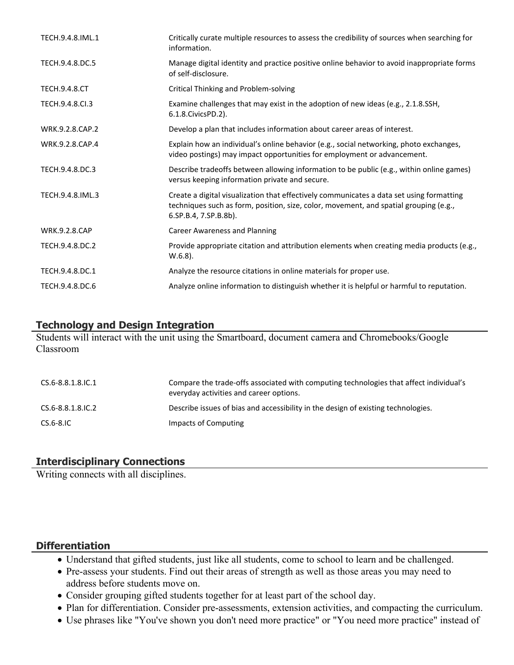| TECH.9.4.8.IML.1     | Critically curate multiple resources to assess the credibility of sources when searching for<br>information.                                                                                               |
|----------------------|------------------------------------------------------------------------------------------------------------------------------------------------------------------------------------------------------------|
| TECH.9.4.8.DC.5      | Manage digital identity and practice positive online behavior to avoid inappropriate forms<br>of self-disclosure.                                                                                          |
| <b>TECH.9.4.8.CT</b> | Critical Thinking and Problem-solving                                                                                                                                                                      |
| TECH.9.4.8.Cl.3      | Examine challenges that may exist in the adoption of new ideas (e.g., 2.1.8.SSH,<br>6.1.8. Civics PD. 2).                                                                                                  |
| WRK.9.2.8.CAP.2      | Develop a plan that includes information about career areas of interest.                                                                                                                                   |
| WRK.9.2.8.CAP.4      | Explain how an individual's online behavior (e.g., social networking, photo exchanges,<br>video postings) may impact opportunities for employment or advancement.                                          |
| TECH.9.4.8.DC.3      | Describe tradeoffs between allowing information to be public (e.g., within online games)<br>versus keeping information private and secure.                                                                 |
| TECH.9.4.8.IML.3     | Create a digital visualization that effectively communicates a data set using formatting<br>techniques such as form, position, size, color, movement, and spatial grouping (e.g.,<br>6.SP.B.4, 7.SP.B.8b). |
| <b>WRK.9.2.8.CAP</b> | Career Awareness and Planning                                                                                                                                                                              |
| TECH.9.4.8.DC.2      | Provide appropriate citation and attribution elements when creating media products (e.g.,<br>$W.6.8$ ).                                                                                                    |
| TECH.9.4.8.DC.1      | Analyze the resource citations in online materials for proper use.                                                                                                                                         |
| TECH.9.4.8.DC.6      | Analyze online information to distinguish whether it is helpful or harmful to reputation.                                                                                                                  |

## **Technology and Design Integration**

Students will interact with the unit using the Smartboard, document camera and Chromebooks/Google Classroom

| CS.6-8.8.1.8.IC.1 | Compare the trade-offs associated with computing technologies that affect individual's<br>everyday activities and career options. |
|-------------------|-----------------------------------------------------------------------------------------------------------------------------------|
| CS.6-8.8.1.8.IC.2 | Describe issues of bias and accessibility in the design of existing technologies.                                                 |
| CS.6-8.IC         | Impacts of Computing                                                                                                              |

# **Interdisciplinary Connections**

Writing connects with all disciplines.

# **Differentiation**

- Understand that gifted students, just like all students, come to school to learn and be challenged.
- Pre-assess your students. Find out their areas of strength as well as those areas you may need to address before students move on.
- Consider grouping gifted students together for at least part of the school day.
- Plan for differentiation. Consider pre-assessments, extension activities, and compacting the curriculum.
- Use phrases like "You've shown you don't need more practice" or "You need more practice" instead of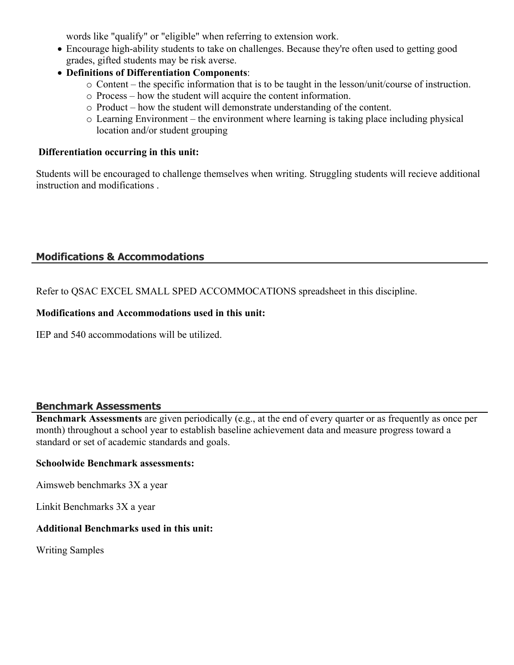words like "qualify" or "eligible" when referring to extension work.

- Encourage high-ability students to take on challenges. Because they're often used to getting good grades, gifted students may be risk averse.
- **Definitions of Differentiation Components**:
	- o Content the specific information that is to be taught in the lesson/unit/course of instruction.
	- o Process how the student will acquire the content information.
	- o Product how the student will demonstrate understanding of the content.
	- o Learning Environment the environment where learning is taking place including physical location and/or student grouping

#### **Differentiation occurring in this unit:**

Students will be encouraged to challenge themselves when writing. Struggling students will recieve additional instruction and modifications .

# **Modifications & Accommodations**

Refer to QSAC EXCEL SMALL SPED ACCOMMOCATIONS spreadsheet in this discipline.

#### **Modifications and Accommodations used in this unit:**

IEP and 540 accommodations will be utilized.

## **Benchmark Assessments**

**Benchmark Assessments** are given periodically (e.g., at the end of every quarter or as frequently as once per month) throughout a school year to establish baseline achievement data and measure progress toward a standard or set of academic standards and goals.

#### **Schoolwide Benchmark assessments:**

Aimsweb benchmarks 3X a year

Linkit Benchmarks 3X a year

# **Additional Benchmarks used in this unit:**

Writing Samples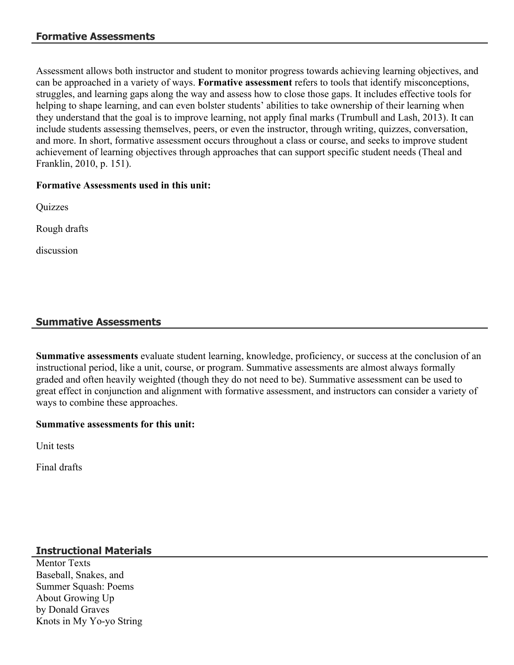Assessment allows both instructor and student to monitor progress towards achieving learning objectives, and can be approached in a variety of ways. **Formative assessment** refers to tools that identify misconceptions, struggles, and learning gaps along the way and assess how to close those gaps. It includes effective tools for helping to shape learning, and can even bolster students' abilities to take ownership of their learning when they understand that the goal is to improve learning, not apply final marks (Trumbull and Lash, 2013). It can include students assessing themselves, peers, or even the instructor, through writing, quizzes, conversation, and more. In short, formative assessment occurs throughout a class or course, and seeks to improve student achievement of learning objectives through approaches that can support specific student needs (Theal and Franklin, 2010, p. 151).

## **Formative Assessments used in this unit:**

**Quizzes** 

Rough drafts

discussion

# **Summative Assessments**

**Summative assessments** evaluate student learning, knowledge, proficiency, or success at the conclusion of an instructional period, like a unit, course, or program. Summative assessments are almost always formally graded and often heavily weighted (though they do not need to be). Summative assessment can be used to great effect in conjunction and alignment with formative assessment, and instructors can consider a variety of ways to combine these approaches.

## **Summative assessments for this unit:**

Unit tests

Final drafts

# **Instructional Materials**

Mentor Texts Baseball, Snakes, and Summer Squash: Poems About Growing Up by Donald Graves Knots in My Yo-yo String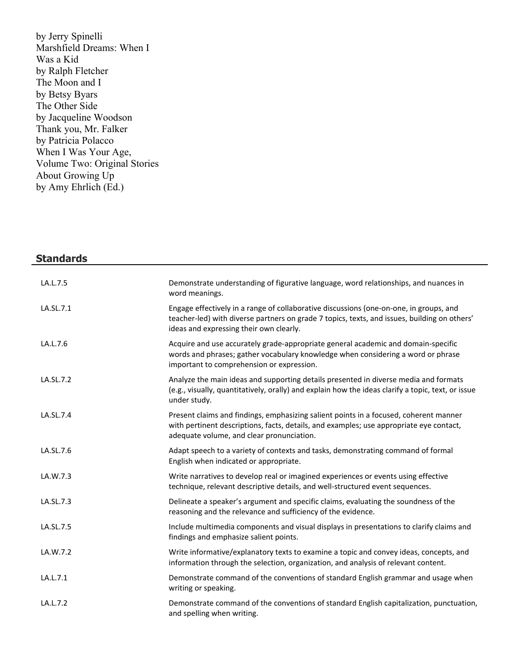by Jerry Spinelli Marshfield Dreams: When I Was a Kid by Ralph Fletcher The Moon and I by Betsy Byars The Other Side by Jacqueline Woodson Thank you, Mr. Falker by Patricia Polacco When I Was Your Age, Volume Two: Original Stories About Growing Up by Amy Ehrlich (Ed.)

| <b>Standards</b> |                                                                                                                                                                                                                                   |
|------------------|-----------------------------------------------------------------------------------------------------------------------------------------------------------------------------------------------------------------------------------|
| LA.L.7.5         | Demonstrate understanding of figurative language, word relationships, and nuances in<br>word meanings.                                                                                                                            |
| LA.SL.7.1        | Engage effectively in a range of collaborative discussions (one-on-one, in groups, and<br>teacher-led) with diverse partners on grade 7 topics, texts, and issues, building on others'<br>ideas and expressing their own clearly. |
| LA.L.7.6         | Acquire and use accurately grade-appropriate general academic and domain-specific<br>words and phrases; gather vocabulary knowledge when considering a word or phrase<br>important to comprehension or expression.                |
| LA.SL.7.2        | Analyze the main ideas and supporting details presented in diverse media and formats<br>(e.g., visually, quantitatively, orally) and explain how the ideas clarify a topic, text, or issue<br>under study.                        |
| LA.SL.7.4        | Present claims and findings, emphasizing salient points in a focused, coherent manner<br>with pertinent descriptions, facts, details, and examples; use appropriate eye contact,<br>adequate volume, and clear pronunciation.     |
| LA.SL.7.6        | Adapt speech to a variety of contexts and tasks, demonstrating command of formal<br>English when indicated or appropriate.                                                                                                        |
| LA.W.7.3         | Write narratives to develop real or imagined experiences or events using effective<br>technique, relevant descriptive details, and well-structured event sequences.                                                               |
| LA.SL.7.3        | Delineate a speaker's argument and specific claims, evaluating the soundness of the<br>reasoning and the relevance and sufficiency of the evidence.                                                                               |
| LA.SL.7.5        | Include multimedia components and visual displays in presentations to clarify claims and<br>findings and emphasize salient points.                                                                                                |
| LA.W.7.2         | Write informative/explanatory texts to examine a topic and convey ideas, concepts, and<br>information through the selection, organization, and analysis of relevant content.                                                      |
| LA.L.7.1         | Demonstrate command of the conventions of standard English grammar and usage when<br>writing or speaking.                                                                                                                         |
| LA.L.7.2         | Demonstrate command of the conventions of standard English capitalization, punctuation,<br>and spelling when writing.                                                                                                             |